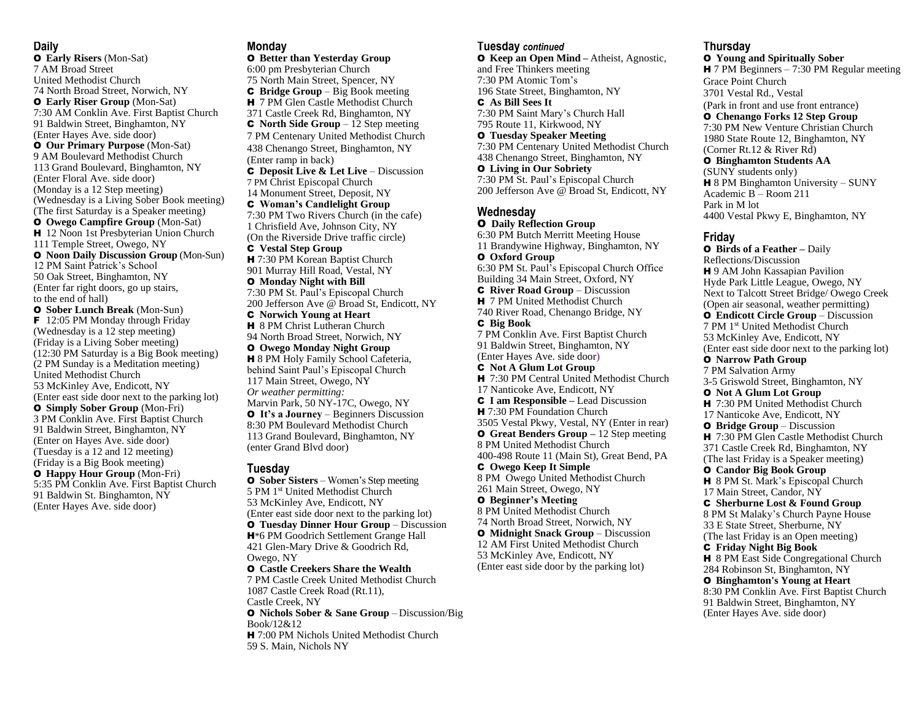#### **Daily**

O **Early Risers** (Mon-Sat) 7 AM Broad Street United Methodist Church 74 North Broad Street, Norwich, NY O **Early Riser Group** (Mon-Sat) 7:30 AM Conklin Ave. First Baptist Church 91 Baldwin Street, Binghamton, NY (Enter Hayes Ave. side door) O **Our Primary Purpose** (Mon-Sat) 9 AM Boulevard Methodist Church 113 Grand Boulevard, Binghamton, NY (Enter Floral Ave. side door) (Monday is a 12 Step meeting) (Wednesday is a Living Sober Book meeting) (The first Saturday is a Speaker meeting) O **Owego Campfire Group** (Mon-Sat) H 12 Noon 1st Presbyterian Union Church 111 Temple Street, Owego, NY O **Noon Daily Discussion Group** (Mon-Sun) 12 PM Saint Patrick's School 50 Oak Street, Binghamton, NY (Enter far right doors, go up stairs, to the end of hall) O **Sober Lunch Break** (Mon-Sun) **F** 12:05 PM Monday through Friday (Wednesday is a 12 step meeting) (Friday is a Living Sober meeting) (12:30 PM Saturday is a Big Book meeting) (2 PM Sunday is a Meditation meeting) United Methodist Church 53 McKinley Ave, Endicott, NY (Enter east side door next to the parking lot) O **Simply Sober Group** (Mon-Fri) 3 PM Conklin Ave. First Baptist Church 91 Baldwin Street, Binghamton, NY (Enter on Hayes Ave. side door) (Tuesday is a 12 and 12 meeting) (Friday is a Big Book meeting) O **Happy Hour Group** (Mon-Fri)

5:35 PM Conklin Ave. First Baptist Church 91 Baldwin St. Binghamton, NY (Enter Hayes Ave. side door)

#### **Monday**

O **Better than Yesterday Group** 6:00 pm Presbyterian Church 75 North Main Street, Spencer, NY C **Bridge Group** – Big Book meeting H 7 PM Glen Castle Methodist Church 371 Castle Creek Rd, Binghamton, NY C **North Side Group** – 12 Step meeting 7 PM Centenary United Methodist Church 438 Chenango Street, Binghamton, NY (Enter ramp in back) C **Deposit Live & Let Live** – Discussion 7 PM Christ Episcopal Church 14 Monument Street, Deposit, NY C **Woman's Candlelight Group** 7:30 PM Two Rivers Church (in the cafe) 1 Chrisfield Ave, Johnson City, NY (On the Riverside Drive traffic circle) C **Vestal Step Group** H 7:30 PM Korean Baptist Church 901 Murray Hill Road, Vestal, NY O **Monday Night with Bill** 7:30 PM St. Paul's Episcopal Church 200 Jefferson Ave @ Broad St, Endicott, NY C **Norwich Young at Heart H** 8 PM Christ Lutheran Church 94 North Broad Street, Norwich, NY O **Owego Monday Night Group H** 8 PM Holy Family School Cafeteria, behind Saint Paul's Episcopal Church 117 Main Street, Owego, NY *Or weather permitting:* Marvin Park, 50 NY-17C, Owego, NY O **It's a Journey** – Beginners Discussion 8:30 PM Boulevard Methodist Church 113 Grand Boulevard, Binghamton, NY (enter Grand Blvd door) **Tuesday** O **Sober Sisters** – Women's Step meeting 5 PM 1 st United Methodist Church 53 McKinley Ave, Endicott, NY (Enter east side door next to the parking lot) O **Tuesday Dinner Hour Group** – Discussion

H\*6 PM Goodrich Settlement Grange Hall 421 Glen-Mary Drive & Goodrich Rd, Owego, NY

O **Castle Creekers Share the Wealth** 7 PM Castle Creek United Methodist Church 1087 Castle Creek Road (Rt.11), Castle Creek, NY

O **Nichols Sober & Sane Group** – Discussion/Big Book/12&12 H 7:00 PM Nichols United Methodist Church 59 S. Main, Nichols NY

### *<sup>U</sup>***Tuesday** *continued*

O **Keep an Open Mind –** Atheist, Agnostic, and Free Thinkers meeting 7:30 PM Atomic Tom's 196 State Street, Binghamton, NY *<sup>U</sup>*C **As Bill Sees It** 7:30 PM Saint Mary's Church Hall 795 Route 11, Kirkwood, NY O **Tuesday Speaker Meeting** 7:30 PM Centenary United Methodist Church 438 Chenango Street, Binghamton, NY

O **Living in Our Sobriety** 7:30 PM St. Paul's Episcopal Church 200 Jefferson Ave @ Broad St, Endicott, NY

## **Wednesday**

O **Daily Reflection Group** 6:30 PM Butch Merritt Meeting House 11 Brandywine Highway, Binghamton, NY O **Oxford Group** 6:30 PM St. Paul's Episcopal Church Office Building 34 Main Street, Oxford, NY C **River Road Group** – Discussion **H** 7 PM United Methodist Church 740 River Road, Chenango Bridge, NY C **Big Book** 7 PM Conklin Ave. First Baptist Church 91 Baldwin Street, Binghamton, NY (Enter Hayes Ave. side door) C **Not A Glum Lot Group** H 7:30 PM Central United Methodist Church 17 Nanticoke Ave, Endicott, NY C **I am Responsible –** Lead Discussion H 7:30 PM Foundation Church 3505 Vestal Pkwy, Vestal, NY (Enter in rear) O **Great Benders Group –** 12 Step meeting 8 PM United Methodist Church

400-498 Route 11 (Main St), Great Bend, PA C **Owego Keep It Simple** 8 PM Owego United Methodist Church

261 Main Street, Owego, NY O **Beginner's Meeting**

8 PM United Methodist Church 74 North Broad Street, Norwich, NY O **Midnight Snack Group** – Discussion 12 AM First United Methodist Church 53 McKinley Ave, Endicott, NY (Enter east side door by the parking lot)

### *<sup>U</sup>***Thursday**

O **Young and Spiritually Sober** H 7 PM Beginners – 7:30 PM Regular meeting Grace Point Church 3701 Vestal Rd., Vestal (Park in front and use front entrance) O **Chenango Forks 12 Step Group** 7:30 PM New Venture Christian Church 1980 State Route 12, Binghamton, NY (Corner Rt.12 & River Rd) O **Binghamton Students AA** (SUNY students only) H 8 PM Binghamton University – SUNY Academic B – Room 211 Park in M lot 4400 Vestal Pkwy E, Binghamton, NY

## **Friday**

O **Birds of a Feather –** Daily Reflections/Discussion H 9 AM John Kassapian Pavilion Hyde Park Little League, Owego, NY Next to Talcott Street Bridge/ Owego Creek (Open air seasonal, weather permitting) O **Endicott Circle Group** – Discussion 7 PM 1st United Methodist Church 53 McKinley Ave, Endicott, NY (Enter east side door next to the parking lot) O **Narrow Path Group** 7 PM Salvation Army 3-5 Griswold Street, Binghamton, NY O **Not A Glum Lot Group H** 7:30 PM United Methodist Church 17 Nanticoke Ave, Endicott, NY O **Bridge Group** – Discussion **H** 7:30 PM Glen Castle Methodist Church 371 Castle Creek Rd, Binghamton, NY (The last Friday is a Speaker meeting) O **Candor Big Book Group** H 8 PM St. Mark's Episcopal Church 17 Main Street, Candor, NY C **Sherburne Lost & Found Group** 8 PM St Malaky's Church Payne House 33 E State Street, Sherburne, NY (The last Friday is an Open meeting) C **Friday Night Big Book** H 8 PM East Side Congregational Church 284 Robinson St, Binghamton, NY O **Binghamton's Young at Heart** 8:30 PM Conklin Ave. First Baptist Church 91 Baldwin Street, Binghamton, NY (Enter Hayes Ave. side door)